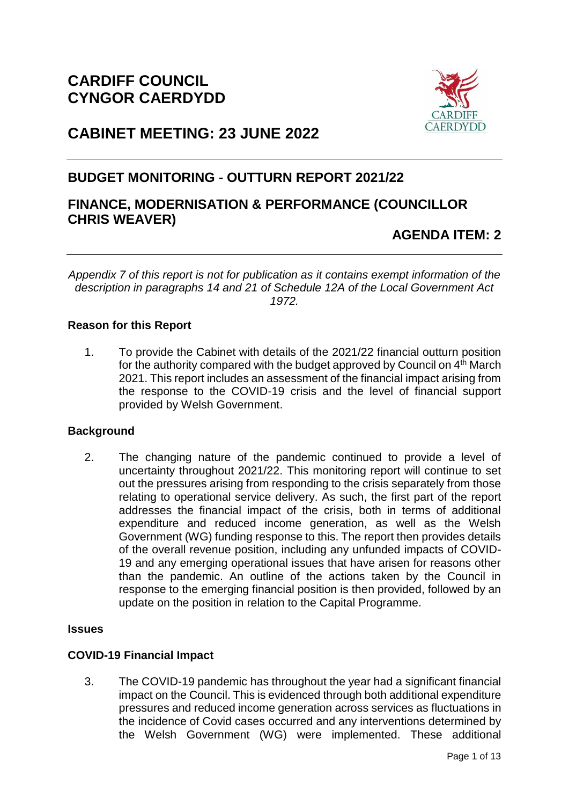

# **CABINET MEETING: 23 JUNE 2022**

## **BUDGET MONITORING - OUTTURN REPORT 2021/22**

## **FINANCE, MODERNISATION & PERFORMANCE (COUNCILLOR CHRIS WEAVER)**

## **AGENDA ITEM: 2**

*Appendix 7 of this report is not for publication as it contains exempt information of the description in paragraphs 14 and 21 of Schedule 12A of the Local Government Act 1972.*

## **Reason for this Report**

1. To provide the Cabinet with details of the 2021/22 financial outturn position for the authority compared with the budget approved by Council on  $4<sup>th</sup>$  March 2021. This report includes an assessment of the financial impact arising from the response to the COVID-19 crisis and the level of financial support provided by Welsh Government.

### **Background**

2. The changing nature of the pandemic continued to provide a level of uncertainty throughout 2021/22. This monitoring report will continue to set out the pressures arising from responding to the crisis separately from those relating to operational service delivery. As such, the first part of the report addresses the financial impact of the crisis, both in terms of additional expenditure and reduced income generation, as well as the Welsh Government (WG) funding response to this. The report then provides details of the overall revenue position, including any unfunded impacts of COVID-19 and any emerging operational issues that have arisen for reasons other than the pandemic. An outline of the actions taken by the Council in response to the emerging financial position is then provided, followed by an update on the position in relation to the Capital Programme.

#### **Issues**

### **COVID-19 Financial Impact**

3. The COVID-19 pandemic has throughout the year had a significant financial impact on the Council. This is evidenced through both additional expenditure pressures and reduced income generation across services as fluctuations in the incidence of Covid cases occurred and any interventions determined by the Welsh Government (WG) were implemented. These additional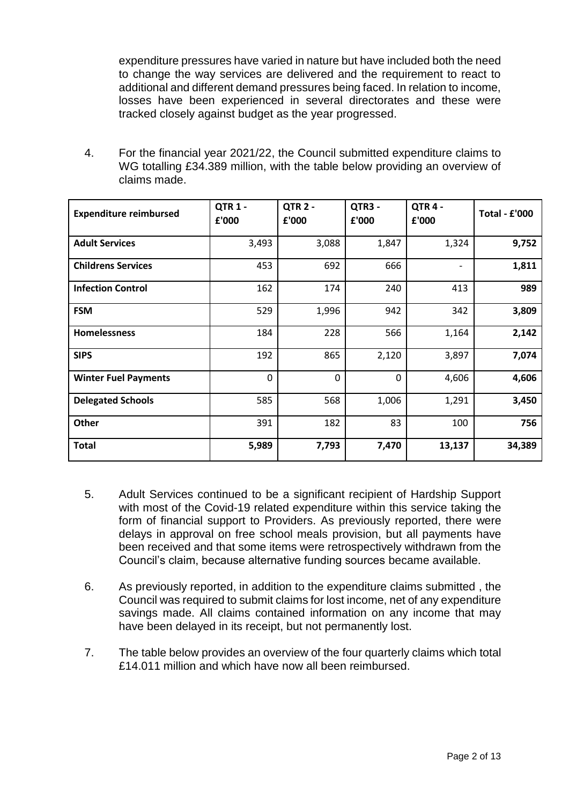expenditure pressures have varied in nature but have included both the need to change the way services are delivered and the requirement to react to additional and different demand pressures being faced. In relation to income, losses have been experienced in several directorates and these were tracked closely against budget as the year progressed.

4. For the financial year 2021/22, the Council submitted expenditure claims to WG totalling £34.389 million, with the table below providing an overview of claims made.

| <b>Expenditure reimbursed</b> | <b>QTR 1 -</b><br>£'000 | QTR <sub>2</sub> -<br>£'000 | QTR3 -<br>£'000 | QTR4-<br>£'000 | <b>Total - £'000</b> |
|-------------------------------|-------------------------|-----------------------------|-----------------|----------------|----------------------|
| <b>Adult Services</b>         | 3,493                   | 3,088                       | 1,847           | 1,324          | 9,752                |
| <b>Childrens Services</b>     | 453                     | 692                         | 666             | -              | 1,811                |
| <b>Infection Control</b>      | 162                     | 174                         | 240             | 413            | 989                  |
| <b>FSM</b>                    | 529                     | 1,996                       | 942             | 342            | 3,809                |
| <b>Homelessness</b>           | 184                     | 228                         | 566             | 1,164          | 2,142                |
| <b>SIPS</b>                   | 192                     | 865                         | 2,120           | 3,897          | 7,074                |
| <b>Winter Fuel Payments</b>   | $\mathbf 0$             | $\mathbf 0$                 | 0               | 4,606          | 4,606                |
| <b>Delegated Schools</b>      | 585                     | 568                         | 1,006           | 1,291          | 3,450                |
| Other                         | 391                     | 182                         | 83              | 100            | 756                  |
| <b>Total</b>                  | 5,989                   | 7,793                       | 7,470           | 13,137         | 34,389               |

- 5. Adult Services continued to be a significant recipient of Hardship Support with most of the Covid-19 related expenditure within this service taking the form of financial support to Providers. As previously reported, there were delays in approval on free school meals provision, but all payments have been received and that some items were retrospectively withdrawn from the Council's claim, because alternative funding sources became available.
- 6. As previously reported, in addition to the expenditure claims submitted , the Council was required to submit claims for lost income, net of any expenditure savings made. All claims contained information on any income that may have been delayed in its receipt, but not permanently lost.
- 7. The table below provides an overview of the four quarterly claims which total £14.011 million and which have now all been reimbursed.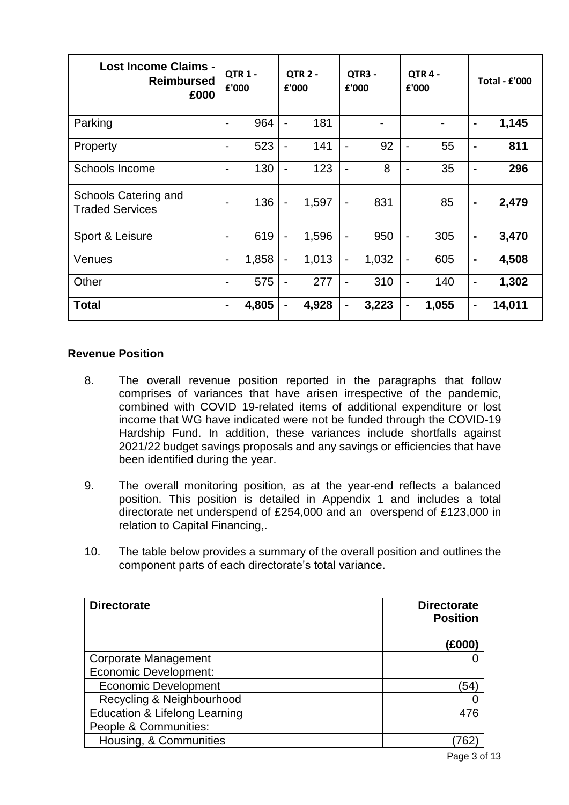| <b>Lost Income Claims -</b><br><b>Reimbursed</b><br>£000 | £'000          | <b>QTR 1 -</b> | £'000                        | QTR <sub>2</sub> - | £'000                    | QTR3 - |                              | QTR4-<br>£'000 |                | <b>Total - £'000</b> |
|----------------------------------------------------------|----------------|----------------|------------------------------|--------------------|--------------------------|--------|------------------------------|----------------|----------------|----------------------|
| Parking                                                  |                | 964            | $\overline{\phantom{a}}$     | 181                |                          |        |                              |                | $\blacksquare$ | 1,145                |
| Property                                                 |                | 523            | $\overline{\phantom{a}}$     | 141                |                          | 92     | $\overline{\phantom{0}}$     | 55             | $\blacksquare$ | 811                  |
| Schools Income                                           | -              | 130            | $\blacksquare$               | 123                | $\blacksquare$           | 8      | $\blacksquare$               | 35             | $\blacksquare$ | 296                  |
| Schools Catering and<br><b>Traded Services</b>           |                | 136            | $\qquad \qquad \blacksquare$ | 1,597              | $\overline{\phantom{a}}$ | 831    |                              | 85             | $\blacksquare$ | 2,479                |
| Sport & Leisure                                          | $\blacksquare$ | 619            | $\overline{\phantom{a}}$     | 1,596              | $\overline{\phantom{0}}$ | 950    | $\overline{\phantom{0}}$     | 305            | $\blacksquare$ | 3,470                |
| Venues                                                   | $\blacksquare$ | 1,858          | $\overline{\phantom{0}}$     | 1,013              | $\overline{\phantom{0}}$ | 1,032  | $\overline{\phantom{0}}$     | 605            | $\blacksquare$ | 4,508                |
| Other                                                    |                | 575            | $\overline{a}$               | 277                | $\blacksquare$           | 310    | $\qquad \qquad \blacksquare$ | 140            | $\blacksquare$ | 1,302                |
| <b>Total</b>                                             | $\blacksquare$ | 4,805          | $\blacksquare$               | 4,928              | $\blacksquare$           | 3,223  | -                            | 1,055          | $\blacksquare$ | 14,011               |

### **Revenue Position**

- 8. The overall revenue position reported in the paragraphs that follow comprises of variances that have arisen irrespective of the pandemic, combined with COVID 19-related items of additional expenditure or lost income that WG have indicated were not be funded through the COVID-19 Hardship Fund. In addition, these variances include shortfalls against 2021/22 budget savings proposals and any savings or efficiencies that have been identified during the year.
- 9. The overall monitoring position, as at the year-end reflects a balanced position. This position is detailed in Appendix 1 and includes a total directorate net underspend of £254,000 and an overspend of £123,000 in relation to Capital Financing,.
- 10. The table below provides a summary of the overall position and outlines the component parts of each directorate's total variance.

| <b>Directorate</b>            | <b>Directorate</b><br><b>Position</b> |
|-------------------------------|---------------------------------------|
|                               | (£000                                 |
| Corporate Management          |                                       |
| <b>Economic Development:</b>  |                                       |
| <b>Economic Development</b>   | 54                                    |
| Recycling & Neighbourhood     |                                       |
| Education & Lifelong Learning | 47F                                   |
| People & Communities:         |                                       |
| Housing, & Communities        |                                       |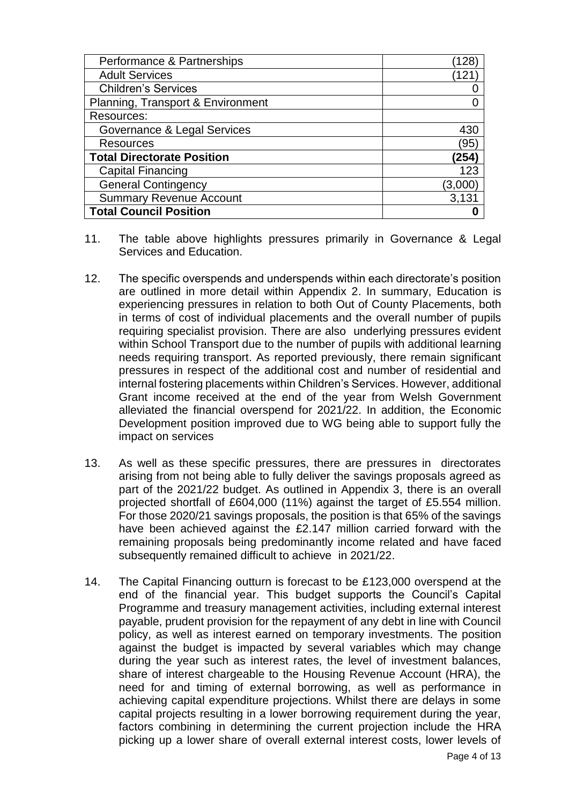| Performance & Partnerships        | 128     |
|-----------------------------------|---------|
| <b>Adult Services</b>             | 121     |
| <b>Children's Services</b>        |         |
| Planning, Transport & Environment |         |
| Resources:                        |         |
| Governance & Legal Services       | 430     |
| <b>Resources</b>                  | '95     |
| <b>Total Directorate Position</b> | (254)   |
| <b>Capital Financing</b>          | 123     |
| <b>General Contingency</b>        | (3,000) |
| <b>Summary Revenue Account</b>    | 3,131   |
| <b>Total Council Position</b>     |         |

- 11. The table above highlights pressures primarily in Governance & Legal Services and Education.
- 12. The specific overspends and underspends within each directorate's position are outlined in more detail within Appendix 2. In summary, Education is experiencing pressures in relation to both Out of County Placements, both in terms of cost of individual placements and the overall number of pupils requiring specialist provision. There are also underlying pressures evident within School Transport due to the number of pupils with additional learning needs requiring transport. As reported previously, there remain significant pressures in respect of the additional cost and number of residential and internal fostering placements within Children's Services. However, additional Grant income received at the end of the year from Welsh Government alleviated the financial overspend for 2021/22. In addition, the Economic Development position improved due to WG being able to support fully the impact on services
- 13. As well as these specific pressures, there are pressures in directorates arising from not being able to fully deliver the savings proposals agreed as part of the 2021/22 budget. As outlined in Appendix 3, there is an overall projected shortfall of £604,000 (11%) against the target of £5.554 million. For those 2020/21 savings proposals, the position is that 65% of the savings have been achieved against the £2.147 million carried forward with the remaining proposals being predominantly income related and have faced subsequently remained difficult to achieve in 2021/22.
- 14. The Capital Financing outturn is forecast to be £123,000 overspend at the end of the financial year. This budget supports the Council's Capital Programme and treasury management activities, including external interest payable, prudent provision for the repayment of any debt in line with Council policy, as well as interest earned on temporary investments. The position against the budget is impacted by several variables which may change during the year such as interest rates, the level of investment balances, share of interest chargeable to the Housing Revenue Account (HRA), the need for and timing of external borrowing, as well as performance in achieving capital expenditure projections. Whilst there are delays in some capital projects resulting in a lower borrowing requirement during the year, factors combining in determining the current projection include the HRA picking up a lower share of overall external interest costs, lower levels of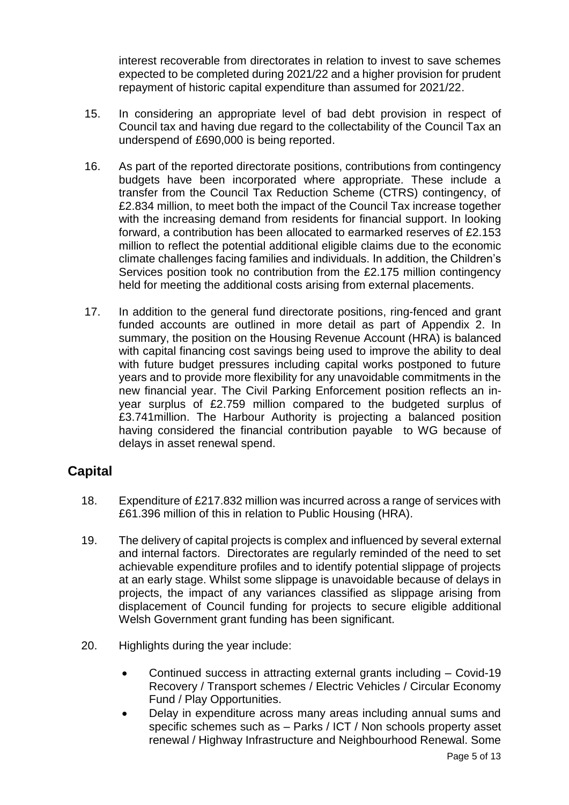interest recoverable from directorates in relation to invest to save schemes expected to be completed during 2021/22 and a higher provision for prudent repayment of historic capital expenditure than assumed for 2021/22.

- 15. In considering an appropriate level of bad debt provision in respect of Council tax and having due regard to the collectability of the Council Tax an underspend of £690,000 is being reported.
- 16. As part of the reported directorate positions, contributions from contingency budgets have been incorporated where appropriate. These include a transfer from the Council Tax Reduction Scheme (CTRS) contingency, of £2.834 million, to meet both the impact of the Council Tax increase together with the increasing demand from residents for financial support. In looking forward, a contribution has been allocated to earmarked reserves of £2.153 million to reflect the potential additional eligible claims due to the economic climate challenges facing families and individuals. In addition, the Children's Services position took no contribution from the £2.175 million contingency held for meeting the additional costs arising from external placements.
- 17. In addition to the general fund directorate positions, ring-fenced and grant funded accounts are outlined in more detail as part of Appendix 2. In summary, the position on the Housing Revenue Account (HRA) is balanced with capital financing cost savings being used to improve the ability to deal with future budget pressures including capital works postponed to future years and to provide more flexibility for any unavoidable commitments in the new financial year. The Civil Parking Enforcement position reflects an inyear surplus of £2.759 million compared to the budgeted surplus of £3.741million. The Harbour Authority is projecting a balanced position having considered the financial contribution payable to WG because of delays in asset renewal spend.

## **Capital**

- 18. Expenditure of £217.832 million was incurred across a range of services with £61.396 million of this in relation to Public Housing (HRA).
- 19. The delivery of capital projects is complex and influenced by several external and internal factors. Directorates are regularly reminded of the need to set achievable expenditure profiles and to identify potential slippage of projects at an early stage. Whilst some slippage is unavoidable because of delays in projects, the impact of any variances classified as slippage arising from displacement of Council funding for projects to secure eligible additional Welsh Government grant funding has been significant.
- 20. Highlights during the year include:
	- Continued success in attracting external grants including Covid-19 Recovery / Transport schemes / Electric Vehicles / Circular Economy Fund / Play Opportunities.
	- Delay in expenditure across many areas including annual sums and specific schemes such as – Parks / ICT / Non schools property asset renewal / Highway Infrastructure and Neighbourhood Renewal. Some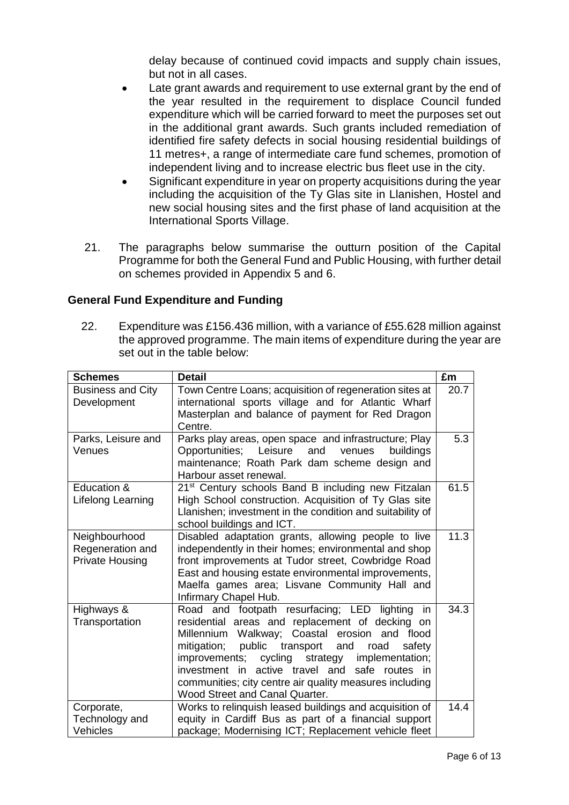delay because of continued covid impacts and supply chain issues, but not in all cases.

- Late grant awards and requirement to use external grant by the end of the year resulted in the requirement to displace Council funded expenditure which will be carried forward to meet the purposes set out in the additional grant awards. Such grants included remediation of identified fire safety defects in social housing residential buildings of 11 metres+, a range of intermediate care fund schemes, promotion of independent living and to increase electric bus fleet use in the city.
- Significant expenditure in year on property acquisitions during the year including the acquisition of the Ty Glas site in Llanishen, Hostel and new social housing sites and the first phase of land acquisition at the International Sports Village.
- 21. The paragraphs below summarise the outturn position of the Capital Programme for both the General Fund and Public Housing, with further detail on schemes provided in Appendix 5 and 6.

## **General Fund Expenditure and Funding**

22. Expenditure was £156.436 million, with a variance of £55.628 million against the approved programme. The main items of expenditure during the year are set out in the table below:

| <b>Schemes</b>                             | <b>Detail</b>                                                                                              | £m   |
|--------------------------------------------|------------------------------------------------------------------------------------------------------------|------|
| <b>Business and City</b>                   | Town Centre Loans; acquisition of regeneration sites at                                                    | 20.7 |
| Development                                | international sports village and for Atlantic Wharf                                                        |      |
|                                            | Masterplan and balance of payment for Red Dragon                                                           |      |
|                                            | Centre.                                                                                                    |      |
| Parks, Leisure and                         | Parks play areas, open space and infrastructure; Play                                                      | 5.3  |
| Venues                                     | Opportunities; Leisure and<br>venues<br>buildings                                                          |      |
|                                            | maintenance; Roath Park dam scheme design and                                                              |      |
|                                            | Harbour asset renewal.                                                                                     |      |
| Education &                                | 21 <sup>st</sup> Century schools Band B including new Fitzalan                                             | 61.5 |
| Lifelong Learning                          | High School construction. Acquisition of Ty Glas site                                                      |      |
|                                            | Llanishen; investment in the condition and suitability of                                                  |      |
|                                            | school buildings and ICT.                                                                                  | 11.3 |
| Neighbourhood                              | Disabled adaptation grants, allowing people to live                                                        |      |
| Regeneration and<br><b>Private Housing</b> | independently in their homes; environmental and shop<br>front improvements at Tudor street, Cowbridge Road |      |
|                                            | East and housing estate environmental improvements,                                                        |      |
|                                            | Maelfa games area; Lisvane Community Hall and                                                              |      |
|                                            | Infirmary Chapel Hub.                                                                                      |      |
| Highways &                                 | Road and footpath resurfacing; LED lighting<br>in                                                          | 34.3 |
| Transportation                             | residential areas and replacement of decking on                                                            |      |
|                                            | Millennium Walkway; Coastal erosion and flood                                                              |      |
|                                            | mitigation;<br>public<br>transport and<br>road<br>safety                                                   |      |
|                                            | improvements; cycling<br>strategy<br>implementation;                                                       |      |
|                                            | investment in active travel and<br>safe routes in                                                          |      |
|                                            | communities; city centre air quality measures including                                                    |      |
|                                            | Wood Street and Canal Quarter.                                                                             |      |
| Corporate,                                 | Works to relinquish leased buildings and acquisition of                                                    | 14.4 |
| Technology and                             | equity in Cardiff Bus as part of a financial support                                                       |      |
| <b>Vehicles</b>                            | package; Modernising ICT; Replacement vehicle fleet                                                        |      |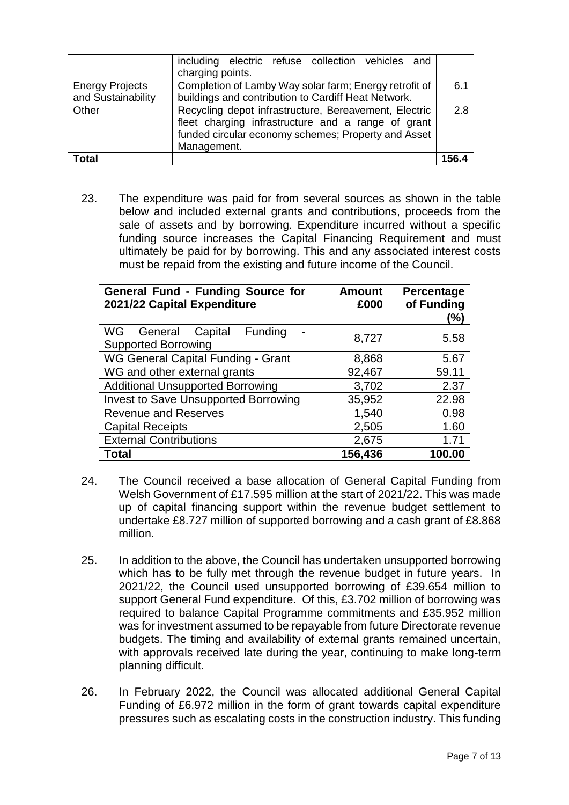|                                              | including electric refuse collection vehicles and<br>charging points.                                                                                                             |       |  |  |
|----------------------------------------------|-----------------------------------------------------------------------------------------------------------------------------------------------------------------------------------|-------|--|--|
| <b>Energy Projects</b><br>and Sustainability | Completion of Lamby Way solar farm; Energy retrofit of<br>buildings and contribution to Cardiff Heat Network.                                                                     | 6.1   |  |  |
| Other                                        | Recycling depot infrastructure, Bereavement, Electric<br>fleet charging infrastructure and a range of grant<br>funded circular economy schemes; Property and Asset<br>Management. |       |  |  |
| Total                                        |                                                                                                                                                                                   | 156.4 |  |  |

23. The expenditure was paid for from several sources as shown in the table below and included external grants and contributions, proceeds from the sale of assets and by borrowing. Expenditure incurred without a specific funding source increases the Capital Financing Requirement and must ultimately be paid for by borrowing. This and any associated interest costs must be repaid from the existing and future income of the Council.

| <b>General Fund - Funding Source for</b><br>2021/22 Capital Expenditure | <b>Amount</b><br>£000 | Percentage<br>of Funding<br>(%) |
|-------------------------------------------------------------------------|-----------------------|---------------------------------|
| WG.<br>Funding<br>General<br>Capital<br><b>Supported Borrowing</b>      | 8,727                 | 5.58                            |
| WG General Capital Funding - Grant                                      | 8,868                 | 5.67                            |
| WG and other external grants                                            | 92,467                | 59.11                           |
| <b>Additional Unsupported Borrowing</b>                                 | 3,702                 | 2.37                            |
| <b>Invest to Save Unsupported Borrowing</b>                             | 35,952                | 22.98                           |
| <b>Revenue and Reserves</b>                                             | 1,540                 | 0.98                            |
| <b>Capital Receipts</b>                                                 | 2,505                 | 1.60                            |
| <b>External Contributions</b>                                           | 2,675                 | 1.71                            |
| <b>Total</b>                                                            | 156,436               | 100.00                          |

- 24. The Council received a base allocation of General Capital Funding from Welsh Government of £17.595 million at the start of 2021/22. This was made up of capital financing support within the revenue budget settlement to undertake £8.727 million of supported borrowing and a cash grant of £8.868 million.
- 25. In addition to the above, the Council has undertaken unsupported borrowing which has to be fully met through the revenue budget in future years. In 2021/22, the Council used unsupported borrowing of £39.654 million to support General Fund expenditure. Of this, £3.702 million of borrowing was required to balance Capital Programme commitments and £35.952 million was for investment assumed to be repayable from future Directorate revenue budgets. The timing and availability of external grants remained uncertain, with approvals received late during the year, continuing to make long-term planning difficult.
- 26. In February 2022, the Council was allocated additional General Capital Funding of £6.972 million in the form of grant towards capital expenditure pressures such as escalating costs in the construction industry. This funding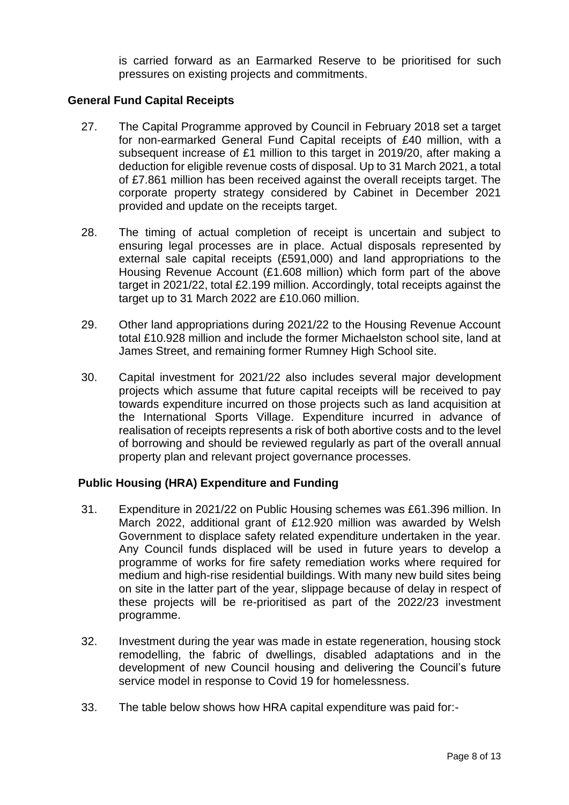is carried forward as an Earmarked Reserve to be prioritised for such pressures on existing projects and commitments.

## **General Fund Capital Receipts**

- 27. The Capital Programme approved by Council in February 2018 set a target for non-earmarked General Fund Capital receipts of £40 million, with a subsequent increase of £1 million to this target in 2019/20, after making a deduction for eligible revenue costs of disposal. Up to 31 March 2021, a total of £7.861 million has been received against the overall receipts target. The corporate property strategy considered by Cabinet in December 2021 provided and update on the receipts target.
- 28. The timing of actual completion of receipt is uncertain and subject to ensuring legal processes are in place. Actual disposals represented by external sale capital receipts (£591,000) and land appropriations to the Housing Revenue Account (£1.608 million) which form part of the above target in 2021/22, total £2.199 million. Accordingly, total receipts against the target up to 31 March 2022 are £10.060 million.
- 29. Other land appropriations during 2021/22 to the Housing Revenue Account total £10.928 million and include the former Michaelston school site, land at James Street, and remaining former Rumney High School site.
- 30. Capital investment for 2021/22 also includes several major development projects which assume that future capital receipts will be received to pay towards expenditure incurred on those projects such as land acquisition at the International Sports Village. Expenditure incurred in advance of realisation of receipts represents a risk of both abortive costs and to the level of borrowing and should be reviewed regularly as part of the overall annual property plan and relevant project governance processes.

### **Public Housing (HRA) Expenditure and Funding**

- 31. Expenditure in 2021/22 on Public Housing schemes was £61.396 million. In March 2022, additional grant of £12.920 million was awarded by Welsh Government to displace safety related expenditure undertaken in the year. Any Council funds displaced will be used in future years to develop a programme of works for fire safety remediation works where required for medium and high-rise residential buildings. With many new build sites being on site in the latter part of the year, slippage because of delay in respect of these projects will be re-prioritised as part of the 2022/23 investment programme.
- 32. Investment during the year was made in estate regeneration, housing stock remodelling, the fabric of dwellings, disabled adaptations and in the development of new Council housing and delivering the Council's future service model in response to Covid 19 for homelessness.
- 33. The table below shows how HRA capital expenditure was paid for:-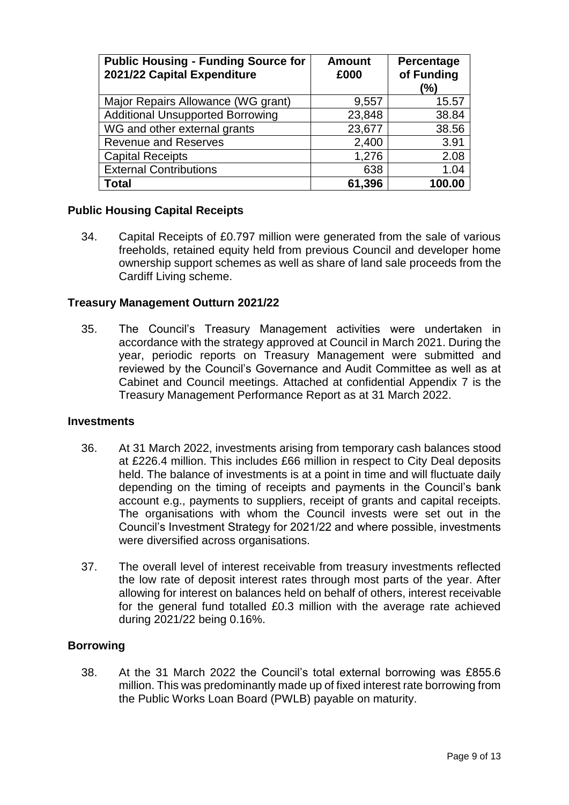| <b>Public Housing - Funding Source for</b><br>2021/22 Capital Expenditure | <b>Amount</b><br>£000 | Percentage<br>of Funding<br>(%) |
|---------------------------------------------------------------------------|-----------------------|---------------------------------|
| Major Repairs Allowance (WG grant)                                        | 9,557                 | 15.57                           |
| <b>Additional Unsupported Borrowing</b>                                   | 23,848                | 38.84                           |
| WG and other external grants                                              | 23,677                | 38.56                           |
| <b>Revenue and Reserves</b>                                               | 2,400                 | 3.91                            |
| <b>Capital Receipts</b>                                                   | 1,276                 | 2.08                            |
| <b>External Contributions</b>                                             | 638                   | 1.04                            |
| <b>Total</b>                                                              | 61,396                | 100.00                          |

### **Public Housing Capital Receipts**

34. Capital Receipts of £0.797 million were generated from the sale of various freeholds, retained equity held from previous Council and developer home ownership support schemes as well as share of land sale proceeds from the Cardiff Living scheme.

#### **Treasury Management Outturn 2021/22**

35. The Council's Treasury Management activities were undertaken in accordance with the strategy approved at Council in March 2021. During the year, periodic reports on Treasury Management were submitted and reviewed by the Council's Governance and Audit Committee as well as at Cabinet and Council meetings. Attached at confidential Appendix 7 is the Treasury Management Performance Report as at 31 March 2022.

#### **Investments**

- 36. At 31 March 2022, investments arising from temporary cash balances stood at £226.4 million. This includes £66 million in respect to City Deal deposits held. The balance of investments is at a point in time and will fluctuate daily depending on the timing of receipts and payments in the Council's bank account e.g., payments to suppliers, receipt of grants and capital receipts. The organisations with whom the Council invests were set out in the Council's Investment Strategy for 2021/22 and where possible, investments were diversified across organisations.
- 37. The overall level of interest receivable from treasury investments reflected the low rate of deposit interest rates through most parts of the year. After allowing for interest on balances held on behalf of others, interest receivable for the general fund totalled £0.3 million with the average rate achieved during 2021/22 being 0.16%.

#### **Borrowing**

38. At the 31 March 2022 the Council's total external borrowing was £855.6 million. This was predominantly made up of fixed interest rate borrowing from the Public Works Loan Board (PWLB) payable on maturity.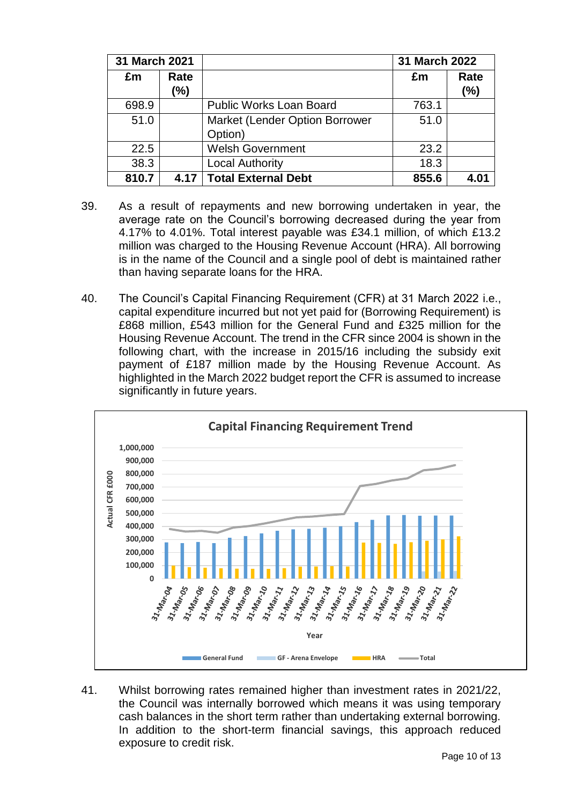| 31 March 2021 |             |                                                  | 31 March 2022 |                |
|---------------|-------------|--------------------------------------------------|---------------|----------------|
| £m            | Rate<br>(%) |                                                  | £m            | Rate<br>$(\%)$ |
| 698.9         |             | <b>Public Works Loan Board</b>                   | 763.1         |                |
| 51.0          |             | <b>Market (Lender Option Borrower</b><br>Option) | 51.0          |                |
| 22.5          |             | <b>Welsh Government</b>                          | 23.2          |                |
| 38.3          |             | <b>Local Authority</b>                           | 18.3          |                |
| 810.7         | 4.17        | <b>Total External Debt</b>                       | 855.6         | 4.01           |

- 39. As a result of repayments and new borrowing undertaken in year, the average rate on the Council's borrowing decreased during the year from 4.17% to 4.01%. Total interest payable was £34.1 million, of which £13.2 million was charged to the Housing Revenue Account (HRA). All borrowing is in the name of the Council and a single pool of debt is maintained rather than having separate loans for the HRA.
- 40. The Council's Capital Financing Requirement (CFR) at 31 March 2022 i.e., capital expenditure incurred but not yet paid for (Borrowing Requirement) is £868 million, £543 million for the General Fund and £325 million for the Housing Revenue Account. The trend in the CFR since 2004 is shown in the following chart, with the increase in 2015/16 including the subsidy exit payment of £187 million made by the Housing Revenue Account. As highlighted in the March 2022 budget report the CFR is assumed to increase significantly in future years.



41. Whilst borrowing rates remained higher than investment rates in 2021/22, the Council was internally borrowed which means it was using temporary cash balances in the short term rather than undertaking external borrowing. In addition to the short-term financial savings, this approach reduced exposure to credit risk.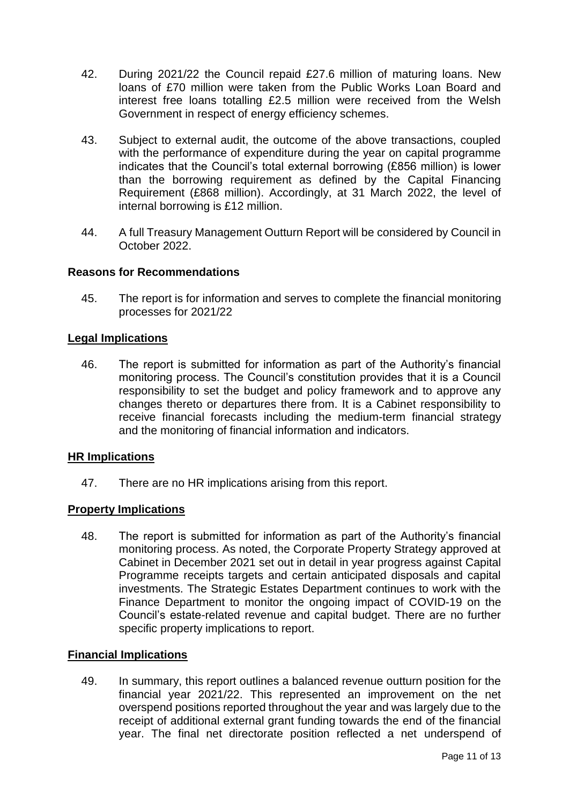- 42. During 2021/22 the Council repaid £27.6 million of maturing loans. New loans of £70 million were taken from the Public Works Loan Board and interest free loans totalling £2.5 million were received from the Welsh Government in respect of energy efficiency schemes.
- 43. Subject to external audit, the outcome of the above transactions, coupled with the performance of expenditure during the year on capital programme indicates that the Council's total external borrowing (£856 million) is lower than the borrowing requirement as defined by the Capital Financing Requirement (£868 million). Accordingly, at 31 March 2022, the level of internal borrowing is £12 million.
- 44. A full Treasury Management Outturn Report will be considered by Council in October 2022.

### **Reasons for Recommendations**

45. The report is for information and serves to complete the financial monitoring processes for 2021/22

#### **Legal Implications**

46. The report is submitted for information as part of the Authority's financial monitoring process. The Council's constitution provides that it is a Council responsibility to set the budget and policy framework and to approve any changes thereto or departures there from. It is a Cabinet responsibility to receive financial forecasts including the medium-term financial strategy and the monitoring of financial information and indicators.

### **HR Implications**

47. There are no HR implications arising from this report.

### **Property Implications**

48. The report is submitted for information as part of the Authority's financial monitoring process. As noted, the Corporate Property Strategy approved at Cabinet in December 2021 set out in detail in year progress against Capital Programme receipts targets and certain anticipated disposals and capital investments. The Strategic Estates Department continues to work with the Finance Department to monitor the ongoing impact of COVID-19 on the Council's estate-related revenue and capital budget. There are no further specific property implications to report.

#### **Financial Implications**

49. In summary, this report outlines a balanced revenue outturn position for the financial year 2021/22. This represented an improvement on the net overspend positions reported throughout the year and was largely due to the receipt of additional external grant funding towards the end of the financial year. The final net directorate position reflected a net underspend of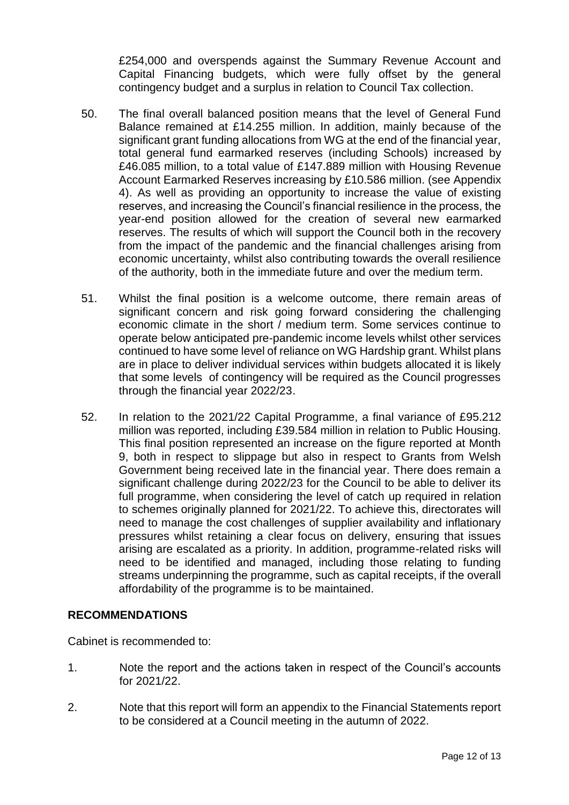£254,000 and overspends against the Summary Revenue Account and Capital Financing budgets, which were fully offset by the general contingency budget and a surplus in relation to Council Tax collection.

- 50. The final overall balanced position means that the level of General Fund Balance remained at £14.255 million. In addition, mainly because of the significant grant funding allocations from WG at the end of the financial year, total general fund earmarked reserves (including Schools) increased by £46.085 million, to a total value of £147.889 million with Housing Revenue Account Earmarked Reserves increasing by £10.586 million. (see Appendix 4). As well as providing an opportunity to increase the value of existing reserves, and increasing the Council's financial resilience in the process, the year-end position allowed for the creation of several new earmarked reserves. The results of which will support the Council both in the recovery from the impact of the pandemic and the financial challenges arising from economic uncertainty, whilst also contributing towards the overall resilience of the authority, both in the immediate future and over the medium term.
- 51. Whilst the final position is a welcome outcome, there remain areas of significant concern and risk going forward considering the challenging economic climate in the short / medium term. Some services continue to operate below anticipated pre-pandemic income levels whilst other services continued to have some level of reliance on WG Hardship grant. Whilst plans are in place to deliver individual services within budgets allocated it is likely that some levels of contingency will be required as the Council progresses through the financial year 2022/23.
- 52. In relation to the 2021/22 Capital Programme, a final variance of £95.212 million was reported, including £39.584 million in relation to Public Housing. This final position represented an increase on the figure reported at Month 9, both in respect to slippage but also in respect to Grants from Welsh Government being received late in the financial year. There does remain a significant challenge during 2022/23 for the Council to be able to deliver its full programme, when considering the level of catch up required in relation to schemes originally planned for 2021/22. To achieve this, directorates will need to manage the cost challenges of supplier availability and inflationary pressures whilst retaining a clear focus on delivery, ensuring that issues arising are escalated as a priority. In addition, programme-related risks will need to be identified and managed, including those relating to funding streams underpinning the programme, such as capital receipts, if the overall affordability of the programme is to be maintained.

### **RECOMMENDATIONS**

Cabinet is recommended to:

- 1. Note the report and the actions taken in respect of the Council's accounts for 2021/22.
- 2. Note that this report will form an appendix to the Financial Statements report to be considered at a Council meeting in the autumn of 2022.